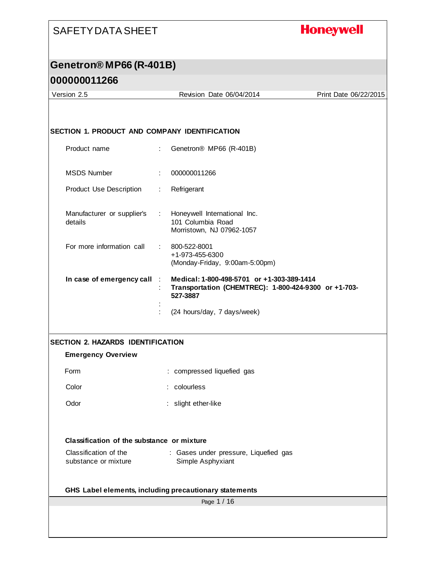## **Honeywell**

# **Genetron® MP66 (R-401B)**

| Version 2.5                                                           |                             | Revision Date 06/04/2014                                                                                       | Print Date 06/22/2015 |
|-----------------------------------------------------------------------|-----------------------------|----------------------------------------------------------------------------------------------------------------|-----------------------|
|                                                                       |                             |                                                                                                                |                       |
|                                                                       |                             |                                                                                                                |                       |
| <b>SECTION 1. PRODUCT AND COMPANY IDENTIFICATION</b>                  |                             |                                                                                                                |                       |
| Product name                                                          | ÷                           | Genetron® MP66 (R-401B)                                                                                        |                       |
|                                                                       |                             |                                                                                                                |                       |
| <b>MSDS Number</b>                                                    |                             | 000000011266                                                                                                   |                       |
| Product Use Description                                               | ÷.                          | Refrigerant                                                                                                    |                       |
| Manufacturer or supplier's<br>details                                 | $\mathcal{L}^{\mathcal{L}}$ | Honeywell International Inc.<br>101 Columbia Road<br>Morristown, NJ 07962-1057                                 |                       |
| For more information call                                             |                             | 800-522-8001<br>+1-973-455-6300<br>(Monday-Friday, 9:00am-5:00pm)                                              |                       |
| In case of emergency call                                             |                             | Medical: 1-800-498-5701 or +1-303-389-1414<br>Transportation (CHEMTREC): 1-800-424-9300 or +1-703-<br>527-3887 |                       |
|                                                                       |                             | (24 hours/day, 7 days/week)                                                                                    |                       |
|                                                                       |                             |                                                                                                                |                       |
| <b>SECTION 2. HAZARDS IDENTIFICATION</b><br><b>Emergency Overview</b> |                             |                                                                                                                |                       |
|                                                                       |                             |                                                                                                                |                       |
| Form                                                                  |                             | : compressed liquefied gas                                                                                     |                       |
| Color                                                                 |                             | : colourless                                                                                                   |                       |
| Odor                                                                  |                             | : slight ether-like                                                                                            |                       |
|                                                                       |                             |                                                                                                                |                       |
| Classification of the substance or mixture                            |                             |                                                                                                                |                       |
| Classification of the<br>substance or mixture                         |                             | : Gases under pressure, Liquefied gas<br>Simple Asphyxiant                                                     |                       |
| GHS Label elements, including precautionary statements                |                             |                                                                                                                |                       |
|                                                                       |                             | Page 1 / 16                                                                                                    |                       |
|                                                                       |                             |                                                                                                                |                       |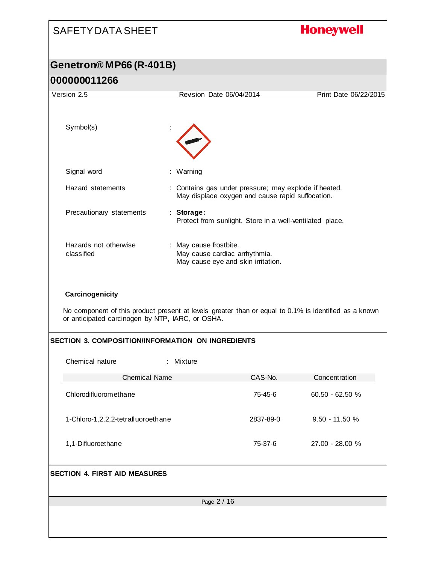| <b>SAFETY DATA SHEET</b>                                                                                                                                                     |                                                                                                           |           | <b>Honeywell</b>      |
|------------------------------------------------------------------------------------------------------------------------------------------------------------------------------|-----------------------------------------------------------------------------------------------------------|-----------|-----------------------|
| Genetron® MP66 (R-401B)                                                                                                                                                      |                                                                                                           |           |                       |
| 000000011266                                                                                                                                                                 |                                                                                                           |           |                       |
| Version 2.5                                                                                                                                                                  | Revision Date 06/04/2014                                                                                  |           | Print Date 06/22/2015 |
|                                                                                                                                                                              |                                                                                                           |           |                       |
| Symbol(s)                                                                                                                                                                    |                                                                                                           |           |                       |
| Signal word                                                                                                                                                                  | : Warning                                                                                                 |           |                       |
| Hazard statements                                                                                                                                                            | : Contains gas under pressure; may explode if heated.<br>May displace oxygen and cause rapid suffocation. |           |                       |
| Precautionary statements                                                                                                                                                     | : Storage:<br>Protect from sunlight. Store in a well-ventilated place.                                    |           |                       |
| Hazards not otherwise<br>classified                                                                                                                                          | : May cause frostbite.<br>May cause cardiac arrhythmia.<br>May cause eye and skin irritation.             |           |                       |
| Carcinogenicity<br>No component of this product present at levels greater than or equal to 0.1% is identified as a known<br>or anticipated carcinogen by NTP, IARC, or OSHA. |                                                                                                           |           |                       |
| <b>SECTION 3. COMPOSITION/INFORMATION ON INGREDIENTS</b>                                                                                                                     |                                                                                                           |           |                       |
| Chemical nature                                                                                                                                                              | : Mixture                                                                                                 |           |                       |
| <b>Chemical Name</b>                                                                                                                                                         |                                                                                                           | CAS-No.   | Concentration         |
| Chlorodifluoromethane                                                                                                                                                        |                                                                                                           | 75-45-6   | 60.50 - 62.50 %       |
| 1-Chloro-1,2,2,2-tetrafluoroethane                                                                                                                                           |                                                                                                           | 2837-89-0 | $9.50 - 11.50 %$      |
| 1,1-Difluoroethane                                                                                                                                                           |                                                                                                           | 75-37-6   | 27.00 - 28.00 %       |
| <b>SECTION 4. FIRST AID MEASURES</b>                                                                                                                                         |                                                                                                           |           |                       |
|                                                                                                                                                                              | Page 2 / 16                                                                                               |           |                       |
|                                                                                                                                                                              |                                                                                                           |           |                       |
|                                                                                                                                                                              |                                                                                                           |           |                       |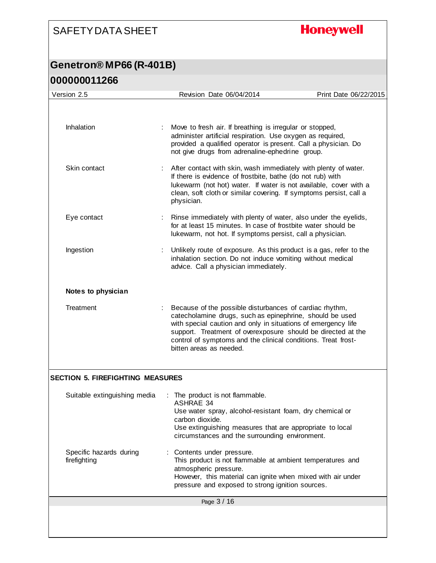**Honeywell** 

### **Genetron® MP66 (R-401B) 000000011266**

| Version 2.5                             | Revision Date 06/04/2014                                                                                                                                                                                                                                                                                                                         | Print Date 06/22/2015 |
|-----------------------------------------|--------------------------------------------------------------------------------------------------------------------------------------------------------------------------------------------------------------------------------------------------------------------------------------------------------------------------------------------------|-----------------------|
|                                         |                                                                                                                                                                                                                                                                                                                                                  |                       |
| Inhalation                              | Move to fresh air. If breathing is irregular or stopped,<br>administer artificial respiration. Use oxygen as required,<br>provided a qualified operator is present. Call a physician. Do<br>not give drugs from adrenaline-ephedrine group.                                                                                                      |                       |
| Skin contact                            | After contact with skin, wash immediately with plenty of water.<br>If there is evidence of frostbite, bathe (do not rub) with<br>lukewarm (not hot) water. If water is not available, cover with a<br>clean, soft cloth or similar covering. If symptoms persist, call a<br>physician.                                                           |                       |
| Eye contact                             | Rinse immediately with plenty of water, also under the eyelids,<br>for at least 15 minutes. In case of frostbite water should be<br>lukewarm, not hot. If symptoms persist, call a physician.                                                                                                                                                    |                       |
| Ingestion                               | Unlikely route of exposure. As this product is a gas, refer to the<br>inhalation section. Do not induce vomiting without medical<br>advice. Call a physician immediately.                                                                                                                                                                        |                       |
| Notes to physician                      |                                                                                                                                                                                                                                                                                                                                                  |                       |
| Treatment                               | Because of the possible disturbances of cardiac rhythm,<br>catecholamine drugs, such as epinephrine, should be used<br>with special caution and only in situations of emergency life<br>support. Treatment of overexposure should be directed at the<br>control of symptoms and the clinical conditions. Treat frost-<br>bitten areas as needed. |                       |
| <b>SECTION 5. FIREFIGHTING MEASURES</b> |                                                                                                                                                                                                                                                                                                                                                  |                       |
| Suitable extinguishing media            | The product is not flammable.<br><b>ASHRAE 34</b><br>Use water spray, alcohol-resistant foam, dry chemical or<br>carbon dioxide.<br>Use extinguishing measures that are appropriate to local<br>circumstances and the surrounding environment.                                                                                                   |                       |
| Specific hazards during<br>firefighting | Contents under pressure.<br>This product is not flammable at ambient temperatures and<br>atmospheric pressure.<br>However, this material can ignite when mixed with air under<br>pressure and exposed to strong ignition sources.                                                                                                                |                       |
|                                         | Page 3 / 16                                                                                                                                                                                                                                                                                                                                      |                       |
|                                         |                                                                                                                                                                                                                                                                                                                                                  |                       |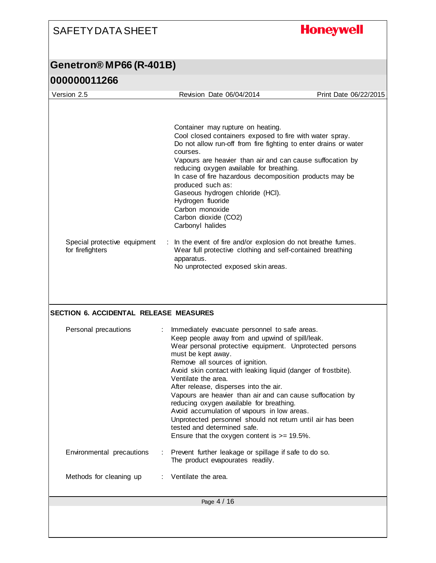## **Honeywell**

## **Genetron® MP66 (R-401B)**

| Version 2.5                                      | Revision Date 06/04/2014                                                                                                                                                                                                                                                                                                                                                                                                                                                                                                                                                                                                                                       | Print Date 06/22/2015 |
|--------------------------------------------------|----------------------------------------------------------------------------------------------------------------------------------------------------------------------------------------------------------------------------------------------------------------------------------------------------------------------------------------------------------------------------------------------------------------------------------------------------------------------------------------------------------------------------------------------------------------------------------------------------------------------------------------------------------------|-----------------------|
|                                                  | Container may rupture on heating.<br>Cool closed containers exposed to fire with water spray.<br>Do not allow run-off from fire fighting to enter drains or water<br>courses.<br>Vapours are heavier than air and can cause suffocation by<br>reducing oxygen available for breathing.<br>In case of fire hazardous decomposition products may be<br>produced such as:<br>Gaseous hydrogen chloride (HCI).<br>Hydrogen fluoride<br>Carbon monoxide<br>Carbon dioxide (CO2)<br>Carbonyl halides                                                                                                                                                                 |                       |
| Special protective equipment<br>for firefighters | : In the event of fire and/or explosion do not breathe fumes.<br>Wear full protective clothing and self-contained breathing<br>apparatus.<br>No unprotected exposed skin areas.                                                                                                                                                                                                                                                                                                                                                                                                                                                                                |                       |
| <b>SECTION 6. ACCIDENTAL RELEASE MEASURES</b>    |                                                                                                                                                                                                                                                                                                                                                                                                                                                                                                                                                                                                                                                                |                       |
| Personal precautions                             | Immediately evacuate personnel to safe areas.<br>Keep people away from and upwind of spill/leak.<br>Wear personal protective equipment. Unprotected persons<br>must be kept away.<br>Remove all sources of ignition.<br>Avoid skin contact with leaking liquid (danger of frostbite).<br>Ventilate the area.<br>After release, disperses into the air.<br>Vapours are heavier than air and can cause suffocation by<br>reducing oxygen available for breathing.<br>Avoid accumulation of vapours in low areas.<br>Unprotected personnel should not return until air has been<br>tested and determined safe.<br>Ensure that the oxygen content is $>= 19.5\%$ . |                       |
| Environmental precautions<br>÷                   | Prevent further leakage or spillage if safe to do so.<br>The product evapourates readily.                                                                                                                                                                                                                                                                                                                                                                                                                                                                                                                                                                      |                       |
| Methods for cleaning up                          | Ventilate the area.                                                                                                                                                                                                                                                                                                                                                                                                                                                                                                                                                                                                                                            |                       |
|                                                  | Page 4 / 16                                                                                                                                                                                                                                                                                                                                                                                                                                                                                                                                                                                                                                                    |                       |
|                                                  |                                                                                                                                                                                                                                                                                                                                                                                                                                                                                                                                                                                                                                                                |                       |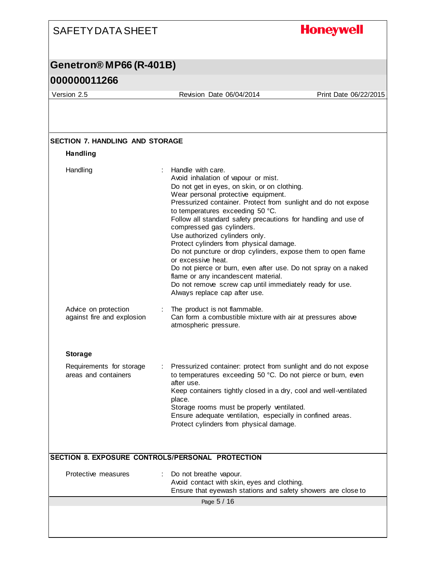### **Honeywell** SAFETY DATA SHEET **Genetron® MP66 (R-401B) 000000011266** Version 2.5 Revision Date 06/04/2014 Print Date 06/22/2015 **SECTION 7. HANDLING AND STORAGE Handling** Handling : Handle with care. Avoid inhalation of vapour or mist. Do not get in eyes, on skin, or on clothing. Wear personal protective equipment. Pressurized container. Protect from sunlight and do not expose to temperatures exceeding 50 °C. Follow all standard safety precautions for handling and use of compressed gas cylinders. Use authorized cylinders only. Protect cylinders from physical damage. Do not puncture or drop cylinders, expose them to open flame or excessive heat. Do not pierce or burn, even after use. Do not spray on a naked flame or any incandescent material. Do not remove screw cap until immediately ready for use. Always replace cap after use. Advice on protection : The product is not flammable. against fire and explosion Can form a combustible mixture with air at pressures above atmospheric pressure. **Storage** Requirements for storage : Pressurized container: protect from sunlight and do not expose areas and containers to temperatures exceeding 50 °C. Do not pierce or burn, even after use. Keep containers tightly closed in a dry, cool and well-ventilated place. Storage rooms must be properly ventilated. Ensure adequate ventilation, especially in confined areas. Protect cylinders from physical damage. **SECTION 8. EXPOSURE CONTROLS/PERSONAL PROTECTION** Protective measures : Do not breathe vapour. Avoid contact with skin, eyes and clothing. Ensure that eyewash stations and safety showers are close to Page 5 / 16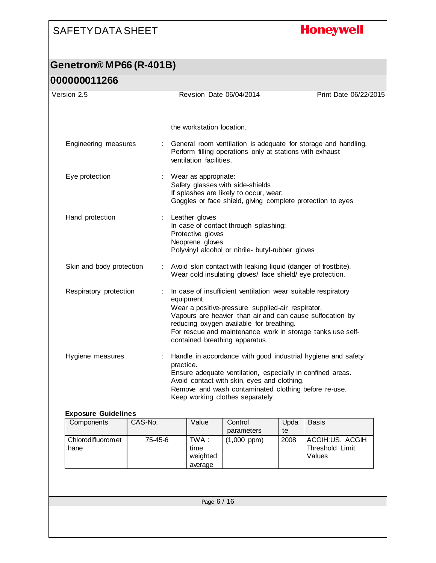## **Honeywell**

## **Genetron® MP66 (R-401B) 000000011266**

| the workstation location.<br>General room ventilation is adequate for storage and handling.<br>Engineering measures<br>Perform filling operations only at stations with exhaust<br>ventilation facilities.<br>Eye protection<br>Wear as appropriate:<br>Safety glasses with side-shields<br>If splashes are likely to occur, wear:<br>Goggles or face shield, giving complete protection to eyes<br>Hand protection<br>Leather gloves<br>In case of contact through splashing:<br>Protective gloves<br>Neoprene gloves<br>Polyvinyl alcohol or nitrile- butyl-rubber gloves<br>Avoid skin contact with leaking liquid (danger of frostbite).<br>Skin and body protection<br>Wear cold insulating gloves/ face shield/ eye protection.<br>Respiratory protection<br>In case of insufficient ventilation wear suitable respiratory<br>equipment.<br>Wear a positive-pressure supplied-air respirator.<br>Vapours are heavier than air and can cause suffocation by<br>reducing oxygen available for breathing.<br>For rescue and maintenance work in storage tanks use self-<br>contained breathing apparatus.<br>Handle in accordance with good industrial hygiene and safety<br>Hygiene measures<br>practice.<br>Ensure adequate ventilation, especially in confined areas.<br>Avoid contact with skin, eyes and clothing.<br>Remove and wash contaminated clothing before re-use.<br>Keep working clothes separately.<br><b>Exposure Guidelines</b><br>Value<br>Components<br>CAS-No.<br>Control<br>Upda<br><b>Basis</b><br>parameters<br>te<br>Chlorodifluoromet<br>75-45-6<br>TWA:<br>$(1,000$ ppm)<br>ACGIH:US. ACGIH<br>2008<br>Threshold Limit<br>time<br>hane<br>weighted<br>Values<br>average<br>Page 6 / 16 | Version 2.5 |  | Revision Date 06/04/2014 | Print Date 06/22/2015 |
|----------------------------------------------------------------------------------------------------------------------------------------------------------------------------------------------------------------------------------------------------------------------------------------------------------------------------------------------------------------------------------------------------------------------------------------------------------------------------------------------------------------------------------------------------------------------------------------------------------------------------------------------------------------------------------------------------------------------------------------------------------------------------------------------------------------------------------------------------------------------------------------------------------------------------------------------------------------------------------------------------------------------------------------------------------------------------------------------------------------------------------------------------------------------------------------------------------------------------------------------------------------------------------------------------------------------------------------------------------------------------------------------------------------------------------------------------------------------------------------------------------------------------------------------------------------------------------------------------------------------------------------------------------------------------------------------------------------------|-------------|--|--------------------------|-----------------------|
|                                                                                                                                                                                                                                                                                                                                                                                                                                                                                                                                                                                                                                                                                                                                                                                                                                                                                                                                                                                                                                                                                                                                                                                                                                                                                                                                                                                                                                                                                                                                                                                                                                                                                                                      |             |  |                          |                       |
|                                                                                                                                                                                                                                                                                                                                                                                                                                                                                                                                                                                                                                                                                                                                                                                                                                                                                                                                                                                                                                                                                                                                                                                                                                                                                                                                                                                                                                                                                                                                                                                                                                                                                                                      |             |  |                          |                       |
|                                                                                                                                                                                                                                                                                                                                                                                                                                                                                                                                                                                                                                                                                                                                                                                                                                                                                                                                                                                                                                                                                                                                                                                                                                                                                                                                                                                                                                                                                                                                                                                                                                                                                                                      |             |  |                          |                       |
|                                                                                                                                                                                                                                                                                                                                                                                                                                                                                                                                                                                                                                                                                                                                                                                                                                                                                                                                                                                                                                                                                                                                                                                                                                                                                                                                                                                                                                                                                                                                                                                                                                                                                                                      |             |  |                          |                       |
|                                                                                                                                                                                                                                                                                                                                                                                                                                                                                                                                                                                                                                                                                                                                                                                                                                                                                                                                                                                                                                                                                                                                                                                                                                                                                                                                                                                                                                                                                                                                                                                                                                                                                                                      |             |  |                          |                       |
|                                                                                                                                                                                                                                                                                                                                                                                                                                                                                                                                                                                                                                                                                                                                                                                                                                                                                                                                                                                                                                                                                                                                                                                                                                                                                                                                                                                                                                                                                                                                                                                                                                                                                                                      |             |  |                          |                       |
|                                                                                                                                                                                                                                                                                                                                                                                                                                                                                                                                                                                                                                                                                                                                                                                                                                                                                                                                                                                                                                                                                                                                                                                                                                                                                                                                                                                                                                                                                                                                                                                                                                                                                                                      |             |  |                          |                       |
|                                                                                                                                                                                                                                                                                                                                                                                                                                                                                                                                                                                                                                                                                                                                                                                                                                                                                                                                                                                                                                                                                                                                                                                                                                                                                                                                                                                                                                                                                                                                                                                                                                                                                                                      |             |  |                          |                       |
|                                                                                                                                                                                                                                                                                                                                                                                                                                                                                                                                                                                                                                                                                                                                                                                                                                                                                                                                                                                                                                                                                                                                                                                                                                                                                                                                                                                                                                                                                                                                                                                                                                                                                                                      |             |  |                          |                       |
|                                                                                                                                                                                                                                                                                                                                                                                                                                                                                                                                                                                                                                                                                                                                                                                                                                                                                                                                                                                                                                                                                                                                                                                                                                                                                                                                                                                                                                                                                                                                                                                                                                                                                                                      |             |  |                          |                       |
|                                                                                                                                                                                                                                                                                                                                                                                                                                                                                                                                                                                                                                                                                                                                                                                                                                                                                                                                                                                                                                                                                                                                                                                                                                                                                                                                                                                                                                                                                                                                                                                                                                                                                                                      |             |  |                          |                       |
|                                                                                                                                                                                                                                                                                                                                                                                                                                                                                                                                                                                                                                                                                                                                                                                                                                                                                                                                                                                                                                                                                                                                                                                                                                                                                                                                                                                                                                                                                                                                                                                                                                                                                                                      |             |  |                          |                       |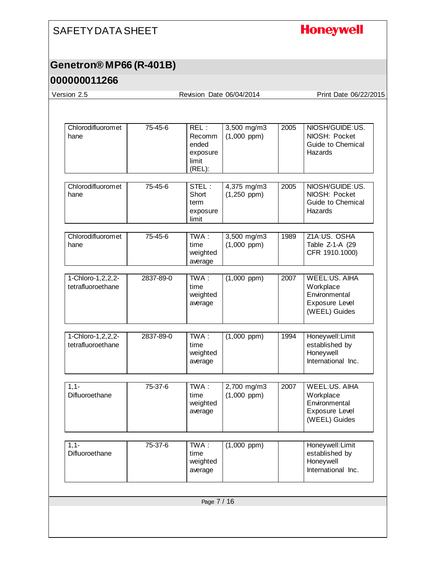## **Honeywell**

## **Genetron® MP66 (R-401B)**

|           |                                                               | Revision Date 06/04/2014        |             | Print Date 06/22/2015                                                                        |
|-----------|---------------------------------------------------------------|---------------------------------|-------------|----------------------------------------------------------------------------------------------|
|           |                                                               |                                 |             |                                                                                              |
| 75-45-6   | REL:<br><b>Recomm</b><br>ended<br>exposure<br>limit<br>(REL): | 3,500 mg/m3<br>$(1,000$ ppm $)$ | 2005        | NIOSH/GUIDE:US.<br>NIOSH: Pocket<br>Guide to Chemical<br>Hazards                             |
| 75-45-6   | STEL:<br>Short<br>term<br>exposure<br>limit                   | 4,375 mg/m3<br>$(1,250$ ppm)    | 2005        | NIOSH/GUIDE:US.<br>NIOSH: Pocket<br>Guide to Chemical<br>Hazards                             |
| 75-45-6   | TWA:<br>time<br>weighted<br>average                           | 3,500 mg/m3<br>$(1,000$ ppm)    | 1989        | Z1A:US. OSHA<br>Table Z-1-A (29<br>CFR 1910.1000)                                            |
| 2837-89-0 | $TWA$ :<br>time<br>weighted<br>average                        | $(1,000$ ppm)                   | 2007        | <b>WEEL:US, AIHA</b><br>Workplace<br>Environmental<br><b>Exposure Level</b><br>(WEEL) Guides |
| 2837-89-0 | TWA:<br>time<br>weighted<br>average                           | $(1,000$ ppm $)$                | 1994        | Honeywell: Limit<br>established by<br>Honeywell<br>International Inc.                        |
| 75-37-6   | TWA:<br>time<br>weighted<br>average                           | 2,700 mg/m3<br>$(1,000$ ppm $)$ | 2007        | <b>WEEL:US, AIHA</b><br>Workplace<br>Environmental<br><b>Exposure Level</b><br>(WEEL) Guides |
| 75-37-6   | TWA:<br>time<br>weighted<br>average                           | $(1,000$ ppm $)$                |             | Honeywell: Limit<br>established by<br>Honeywell<br>International Inc.                        |
|           |                                                               |                                 |             |                                                                                              |
|           |                                                               |                                 | Page 7 / 16 |                                                                                              |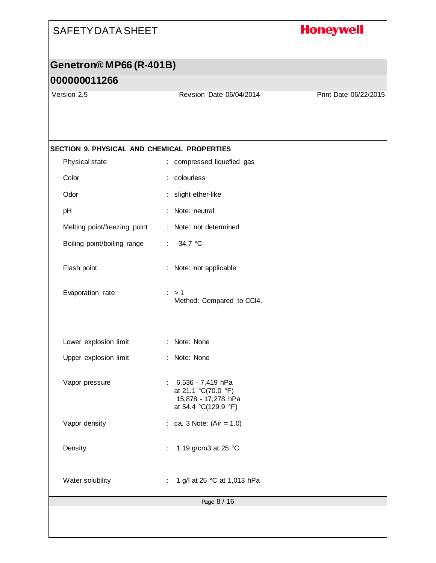## **Honeywell**

## **Genetron® MP66 (R-401B)**

## **000000011266**

Version 2.5 Revision Date 06/04/2014 Print Date 06/22/2015

| SECTION 9. PHYSICAL AND CHEMICAL PROPERTIES |                                                                                             |
|---------------------------------------------|---------------------------------------------------------------------------------------------|
| Physical state                              | : compressed liquefied gas                                                                  |
| Color                                       | : colourless                                                                                |
| Odor                                        | : slight ether-like                                                                         |
| pH                                          | Note: neutral<br>÷.                                                                         |
| Melting point/freezing point                | : Note: not determined                                                                      |
| Boiling point/boiling range                 | $-34.7$ °C<br>÷.                                                                            |
| Flash point                                 | : Note: not applicable                                                                      |
| Evaporation rate                            | $\therefore$ > 1<br>Method: Compared to CCI4.                                               |
| Lower explosion limit                       | : Note: None                                                                                |
| Upper explosion limit                       | : Note: None                                                                                |
| Vapor pressure                              | $: 6,536 - 7,419$ hPa<br>at 21.1 °C(70.0 °F)<br>15,878 - 17,278 hPa<br>at 54.4 °C(129.9 °F) |
| Vapor density                               | : ca. 3 Note: $(Air = 1.0)$                                                                 |
| Density                                     | 1.19 g/cm3 at 25 °C                                                                         |
| Water solubility                            | 1 g/l at 25 °C at 1,013 hPa                                                                 |
|                                             | Page 8 / 16                                                                                 |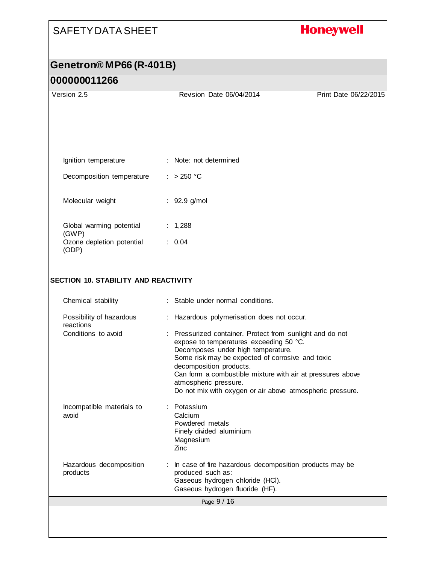## **Honeywell**

# **Genetron® MP66 (R-401B)**

| Version 2.5                                 | Revision Date 06/04/2014                                                                                                                                                                                                  | Print Date 06/22/2015 |
|---------------------------------------------|---------------------------------------------------------------------------------------------------------------------------------------------------------------------------------------------------------------------------|-----------------------|
|                                             |                                                                                                                                                                                                                           |                       |
|                                             |                                                                                                                                                                                                                           |                       |
|                                             |                                                                                                                                                                                                                           |                       |
|                                             |                                                                                                                                                                                                                           |                       |
| Ignition temperature                        | : Note: not determined                                                                                                                                                                                                    |                       |
| Decomposition temperature                   | : $>250$ °C                                                                                                                                                                                                               |                       |
| Molecular weight                            | $: 92.9$ g/mol                                                                                                                                                                                                            |                       |
| Global warming potential<br>(GWP)           | : $1,288$                                                                                                                                                                                                                 |                       |
| Ozone depletion potential<br>(ODP)          | : 0.04                                                                                                                                                                                                                    |                       |
|                                             |                                                                                                                                                                                                                           |                       |
| <b>SECTION 10. STABILITY AND REACTIVITY</b> |                                                                                                                                                                                                                           |                       |
| Chemical stability                          | : Stable under normal conditions.                                                                                                                                                                                         |                       |
| Possibility of hazardous<br>reactions       | : Hazardous polymerisation does not occur.                                                                                                                                                                                |                       |
| Conditions to avoid                         | : Pressurized container. Protect from sunlight and do not<br>expose to temperatures exceeding 50 °C.<br>Decomposes under high temperature.<br>Some risk may be expected of corrosive and toxic<br>decomposition products. |                       |
|                                             | Can form a combustible mixture with air at pressures above<br>atmospheric pressure.<br>Do not mix with oxygen or air above atmospheric pressure.                                                                          |                       |
| Incompatible materials to<br>avoid          | Potassium<br>Calcium<br>Powdered metals<br>Finely divided aluminium<br>Magnesium<br>Zinc                                                                                                                                  |                       |
| Hazardous decomposition<br>products         | In case of fire hazardous decomposition products may be<br>produced such as:<br>Gaseous hydrogen chloride (HCI).<br>Gaseous hydrogen fluoride (HF).                                                                       |                       |
|                                             | Page 9 / 16                                                                                                                                                                                                               |                       |
|                                             |                                                                                                                                                                                                                           |                       |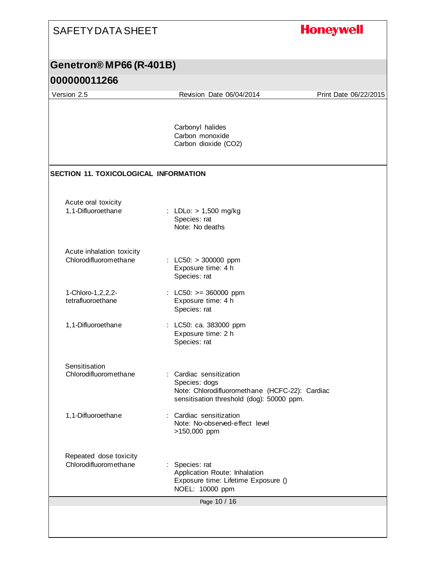| <b>SAFETY DATA SHEET</b>                           |                                                                                                                                       | <b>Honeywell</b>      |
|----------------------------------------------------|---------------------------------------------------------------------------------------------------------------------------------------|-----------------------|
| Genetron® MP66 (R-401B)                            |                                                                                                                                       |                       |
| 000000011266                                       |                                                                                                                                       |                       |
| Version 2.5                                        | Revision Date 06/04/2014                                                                                                              | Print Date 06/22/2015 |
|                                                    | Carbonyl halides<br>Carbon monoxide<br>Carbon dioxide (CO2)                                                                           |                       |
| <b>SECTION 11. TOXICOLOGICAL INFORMATION</b>       |                                                                                                                                       |                       |
| Acute oral toxicity<br>1,1-Difluoroethane          | : LDLo: $> 1,500$ mg/kg<br>Species: rat<br>Note: No deaths                                                                            |                       |
| Acute inhalation toxicity<br>Chlorodifluoromethane | : LC50: $> 300000$ ppm<br>Exposure time: 4 h<br>Species: rat                                                                          |                       |
| 1-Chloro-1, 2, 2, 2-<br>tetrafluoroethane          | : LC50: $>= 360000$ ppm<br>Exposure time: 4 h<br>Species: rat                                                                         |                       |
| 1,1-Difluoroethane                                 | : LC50: ca. 383000 ppm<br>Exposure time: 2 h<br>Species: rat                                                                          |                       |
| Sensitisation<br>Chlorodifluoromethane             | Cardiac sensitization<br>Species: dogs<br>Note: Chlorodifluoromethane (HCFC-22): Cardiac<br>sensitisation threshold (dog): 50000 ppm. |                       |
| 1,1-Difluoroethane                                 | Cardiac sensitization<br>Note: No-observed-effect level<br>>150,000 ppm                                                               |                       |
| Repeated dose toxicity<br>Chlorodifluoromethane    | Species: rat<br>Application Route: Inhalation<br>Exposure time: Lifetime Exposure ()<br>NOEL: 10000 ppm                               |                       |
|                                                    | Page 10 / 16                                                                                                                          |                       |
|                                                    |                                                                                                                                       |                       |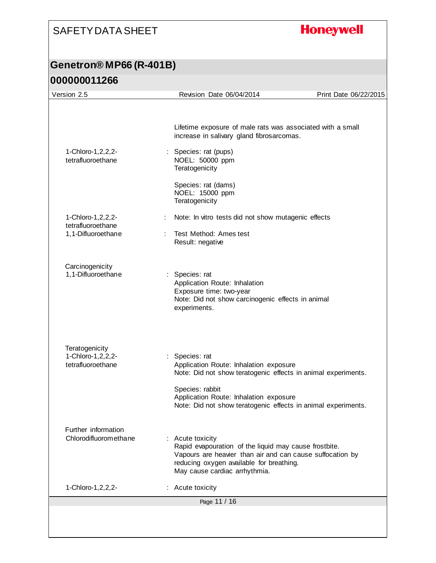## **Honeywell**

### **Genetron® MP66 (R-401B) 000000011266**

| Version 2.5                                                 | Revision Date 06/04/2014                                                                                                                                                                                                                                | Print Date 06/22/2015 |
|-------------------------------------------------------------|---------------------------------------------------------------------------------------------------------------------------------------------------------------------------------------------------------------------------------------------------------|-----------------------|
|                                                             | Lifetime exposure of male rats was associated with a small<br>increase in salivary gland fibrosarcomas.                                                                                                                                                 |                       |
| 1-Chloro-1, 2, 2, 2-<br>tetrafluoroethane                   | : Species: rat (pups)<br>NOEL: 50000 ppm<br>Teratogenicity<br>Species: rat (dams)                                                                                                                                                                       |                       |
|                                                             | NOEL: 15000 ppm<br>Teratogenicity                                                                                                                                                                                                                       |                       |
| 1-Chloro-1, 2, 2, 2-<br>tetrafluoroethane                   | Note: In vitro tests did not show mutagenic effects                                                                                                                                                                                                     |                       |
| 1,1-Difluoroethane                                          | Test Method: Ames test<br>Result: negative                                                                                                                                                                                                              |                       |
| Carcinogenicity<br>1,1-Difluoroethane                       | : Species: rat<br>Application Route: Inhalation<br>Exposure time: two-year<br>Note: Did not show carcinogenic effects in animal<br>experiments.                                                                                                         |                       |
| Teratogenicity<br>1-Chloro-1, 2, 2, 2-<br>tetrafluoroethane | : Species: rat<br>Application Route: Inhalation exposure<br>Note: Did not show teratogenic effects in animal experiments.<br>Species: rabbit<br>Application Route: Inhalation exposure<br>Note: Did not show teratogenic effects in animal experiments. |                       |
| Further information<br>Chlorodifluoromethane                | : Acute toxicity<br>Rapid evapouration of the liquid may cause frostbite.<br>Vapours are heavier than air and can cause suffocation by<br>reducing oxygen available for breathing.<br>May cause cardiac arrhythmia.                                     |                       |
| 1-Chloro-1, 2, 2, 2-                                        | : Acute toxicity                                                                                                                                                                                                                                        |                       |
|                                                             | Page 11 / 16                                                                                                                                                                                                                                            |                       |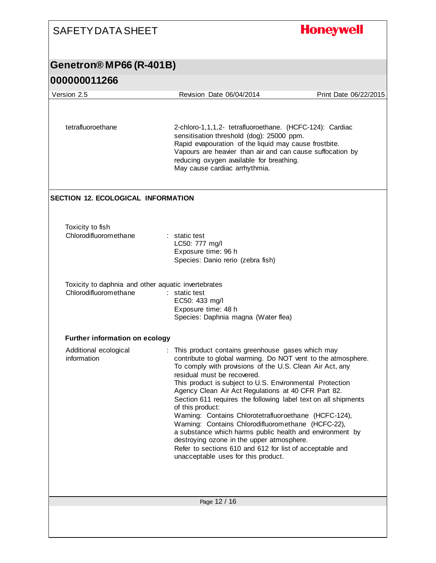### **Honeywell** SAFETY DATA SHEET **Genetron® MP66 (R-401B) 000000011266** Version 2.5 Revision Date 06/04/2014 Print Date 06/22/2015 tetrafluoroethane 2-chloro-1,1,1,2- tetrafluoroethane. (HCFC-124): Cardiac sensitisation threshold (dog): 25000 ppm. Rapid evapouration of the liquid may cause frostbite. Vapours are heavier than air and can cause suffocation by reducing oxygen available for breathing. May cause cardiac arrhythmia. **SECTION 12. ECOLOGICAL INFORMATION** Toxicity to fish Chlorodifluoromethane : static test LC50: 777 mg/l Exposure time: 96 h Species: Danio rerio (zebra fish) Toxicity to daphnia and other aquatic invertebrates Chlorodifluoromethane : static test EC50: 433 mg/l Exposure time: 48 h Species: Daphnia magna (Water flea) **Further information on ecology** : This product contains greenhouse gases which may Additional ecological information contribute to global warming. Do NOT vent to the atmosphere. To comply with provisions of the U.S. Clean Air Act, any residual must be recovered. This product is subject to U.S. Environmental Protection Agency Clean Air Act Regulations at 40 CFR Part 82. Section 611 requires the following label text on all shipments of this product: Warning: Contains Chlorotetrafluoroethane (HCFC-124), Warning: Contains Chlorodifluoromethane (HCFC-22), a substance which harms public health and environment by destroying ozone in the upper atmosphere. Refer to sections 610 and 612 for list of acceptable and unacceptable uses for this product.Page 12 / 16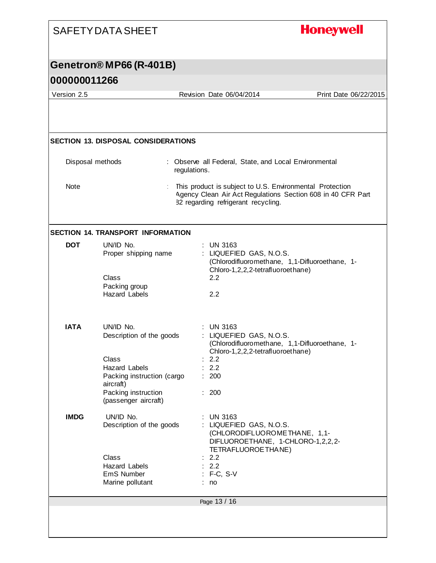|                  | <b>SAFETY DATA SHEET</b>                                                            | <b>Honeywell</b>                                                                                                                                               |
|------------------|-------------------------------------------------------------------------------------|----------------------------------------------------------------------------------------------------------------------------------------------------------------|
|                  | Genetron® MP66 (R-401B)                                                             |                                                                                                                                                                |
| 000000011266     |                                                                                     |                                                                                                                                                                |
| Version 2.5      |                                                                                     | Revision Date 06/04/2014<br>Print Date 06/22/2015                                                                                                              |
|                  |                                                                                     |                                                                                                                                                                |
|                  | <b>SECTION 13. DISPOSAL CONSIDERATIONS</b>                                          |                                                                                                                                                                |
| Disposal methods |                                                                                     | : Observe all Federal, State, and Local Environmental<br>regulations.                                                                                          |
| Note             |                                                                                     | This product is subject to U.S. Environmental Protection<br>Agency Clean Air Act Regulations Section 608 in 40 CFR Part<br>82 regarding refrigerant recycling. |
|                  | <b>SECTION 14. TRANSPORT INFORMATION</b>                                            |                                                                                                                                                                |
| <b>DOT</b>       | UN/ID No.<br>Proper shipping name<br>Class<br>Packing group<br><b>Hazard Labels</b> | <b>UN 3163</b><br>LIQUEFIED GAS, N.O.S.<br>(Chlorodifluoromethane, 1,1-Difluoroethane, 1-<br>Chloro-1,2,2,2-tetrafluoroethane)<br>2.2<br>2.2                   |
| <b>IATA</b>      | UN/ID No.<br>Description of the goods                                               | <b>UN 3163</b><br>LIQUEFIED GAS, N.O.S.                                                                                                                        |
|                  | Class<br><b>Hazard Labels</b><br>Packing instruction (cargo<br>aircraft)            | (Chlorodifluoromethane, 1,1-Difluoroethane, 1-<br>Chloro-1,2,2,2-tetrafluoroethane)<br>2.2<br>2.2<br>200                                                       |
|                  | Packing instruction<br>(passenger aircraft)                                         | : 200                                                                                                                                                          |
| <b>IMDG</b>      | UN/ID No.<br>Description of the goods                                               | <b>UN 3163</b><br>: LIQUEFIED GAS, N.O.S.<br>(CHLORODIFLUOROMETHANE, 1,1-<br>DIFLUOROETHANE, 1-CHLORO-1,2,2,2-<br>TETRAFLUOROETHANE)                           |
|                  | Class<br>Hazard Labels<br>EmS Number<br>Marine pollutant                            | 2.2<br>: 2.2<br>$: F-C, S-V$<br>no                                                                                                                             |
|                  |                                                                                     | Page 13 / 16                                                                                                                                                   |
|                  |                                                                                     |                                                                                                                                                                |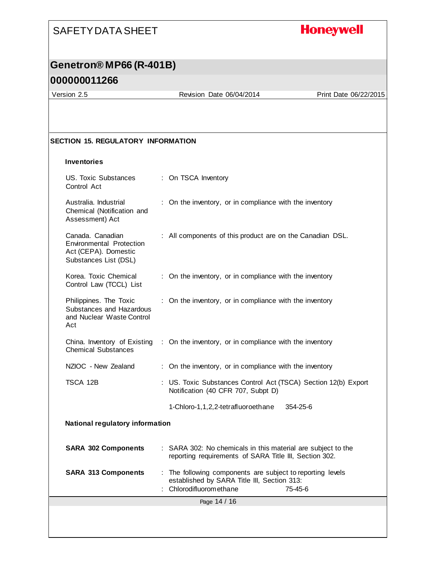## **Honeywell**

## **Genetron® MP66 (R-401B)**

### **000000011266**

Version 2.5 Revision Date 06/04/2014 Print Date 06/22/2015

#### **SECTION 15. REGULATORY INFORMATION**

#### **Inventories**

| <b>US. Toxic Substances</b><br>Control Act                                                           | : On TSCA Inventory                                                                                                                             |  |
|------------------------------------------------------------------------------------------------------|-------------------------------------------------------------------------------------------------------------------------------------------------|--|
| Australia, Industrial<br>Chemical (Notification and<br>Assessment) Act                               | : On the inventory, or in compliance with the inventory                                                                                         |  |
| Canada. Canadian<br><b>Environmental Protection</b><br>Act (CEPA). Domestic<br>Substances List (DSL) | : All components of this product are on the Canadian DSL.                                                                                       |  |
| Korea. Toxic Chemical<br>Control Law (TCCL) List                                                     | : On the inventory, or in compliance with the inventory                                                                                         |  |
| Philippines. The Toxic<br>Substances and Hazardous<br>and Nuclear Waste Control<br>Act               | : On the inventory, or in compliance with the inventory                                                                                         |  |
| China. Inventory of Existing<br><b>Chemical Substances</b>                                           | : On the inventory, or in compliance with the inventory                                                                                         |  |
| NZIOC - New Zealand                                                                                  | : On the inventory, or in compliance with the inventory                                                                                         |  |
| TSCA 12B                                                                                             | : US. Toxic Substances Control Act (TSCA) Section 12(b) Export<br>Notification (40 CFR 707, Subpt D)                                            |  |
|                                                                                                      | 1-Chloro-1,1,2,2-tetrafluoroethane<br>354-25-6                                                                                                  |  |
| <b>National regulatory information</b>                                                               |                                                                                                                                                 |  |
| <b>SARA 302 Components</b>                                                                           | : SARA 302: No chemicals in this material are subject to the<br>reporting requirements of SARA Title III, Section 302.                          |  |
| <b>SARA 313 Components</b>                                                                           | : The following components are subject to reporting levels<br>established by SARA Title III, Section 313:<br>: Chlorodifluoromethane<br>75-45-6 |  |
|                                                                                                      | Page 14 / 16                                                                                                                                    |  |
|                                                                                                      |                                                                                                                                                 |  |
|                                                                                                      |                                                                                                                                                 |  |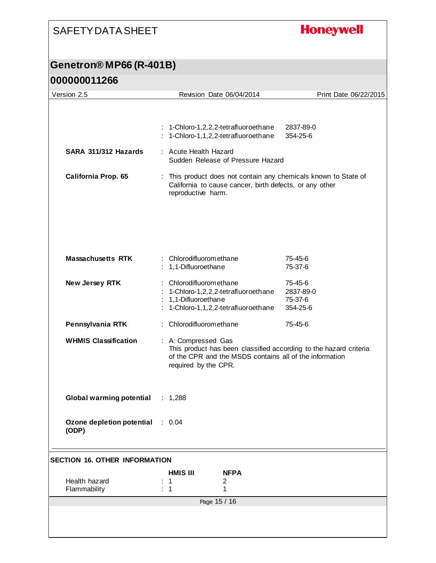## **Honeywell**

## **Genetron® MP66 (R-401B)**

| Version 2.5                          | Revision Date 06/04/2014                                                                                                                                                    | Print Date 06/22/2015                       |
|--------------------------------------|-----------------------------------------------------------------------------------------------------------------------------------------------------------------------------|---------------------------------------------|
|                                      |                                                                                                                                                                             |                                             |
|                                      | : 1-Chloro-1,2,2,2-tetrafluoroethane<br>: 1-Chloro-1,1,2,2-tetrafluoroethane                                                                                                | 2837-89-0<br>354-25-6                       |
| SARA 311/312 Hazards                 | : Acute Health Hazard<br>Sudden Release of Pressure Hazard                                                                                                                  |                                             |
| California Prop. 65                  | : This product does not contain any chemicals known to State of<br>California to cause cancer, birth defects, or any other<br>reproductive harm.                            |                                             |
|                                      |                                                                                                                                                                             |                                             |
| <b>Massachusetts RTK</b>             | : Chlorodifluoromethane<br>: 1,1-Difluoroethane                                                                                                                             | 75-45-6<br>75-37-6                          |
| New Jersey RTK                       | : Chlorodifluoromethane<br>: 1-Chloro-1,2,2,2-tetrafluoroethane<br>1,1-Difluoroethane<br>1-Chloro-1,1,2,2-tetrafluoroethane                                                 | 75-45-6<br>2837-89-0<br>75-37-6<br>354-25-6 |
| Pennsylvania RTK                     | : Chlorodifluoromethane                                                                                                                                                     | 75-45-6                                     |
| <b>WHMIS Classification</b>          | : A: Compressed Gas<br>This product has been classified according to the hazard criteria<br>of the CPR and the MSDS contains all of the information<br>required by the CPR. |                                             |
| <b>Global warming potential</b>      | : $1,288$                                                                                                                                                                   |                                             |
| Ozone depletion potential<br>(ODP)   | : 0.04                                                                                                                                                                      |                                             |
| <b>SECTION 16. OTHER INFORMATION</b> |                                                                                                                                                                             |                                             |
|                                      | <b>HMIS III</b><br><b>NFPA</b>                                                                                                                                              |                                             |
| Health hazard<br>Flammability        | 1<br>2<br>1<br>1                                                                                                                                                            |                                             |
| Page 15 / 16                         |                                                                                                                                                                             |                                             |
|                                      |                                                                                                                                                                             |                                             |